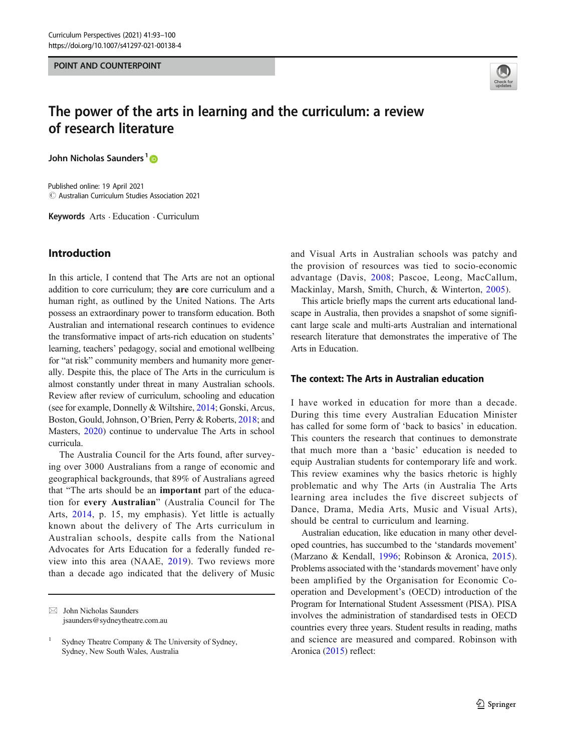#### POINT AND COUNTERPOINT



# The power of the arts in learning and the curriculum: a review of research literature

John Nicholas Saunders<sup>1</sup><sup>®</sup>

 $\circled{c}$  Australian Curriculum Studies Association 2021 Published online: 19 April 2021

Keywords Arts . Education . Curriculum

# Introduction

In this article, I contend that The Arts are not an optional addition to core curriculum; they are core curriculum and a human right, as outlined by the United Nations. The Arts possess an extraordinary power to transform education. Both Australian and international research continues to evidence the transformative impact of arts-rich education on students' learning, teachers' pedagogy, social and emotional wellbeing for "at risk" community members and humanity more generally. Despite this, the place of The Arts in the curriculum is almost constantly under threat in many Australian schools. Review after review of curriculum, schooling and education (see for example, Donnelly & Wiltshire, [2014](#page-7-0); Gonski, Arcus, Boston, Gould, Johnson, O'Brien, Perry & Roberts, [2018](#page-7-0); and Masters, [2020](#page-7-0)) continue to undervalue The Arts in school curricula.

The Australia Council for the Arts found, after surveying over 3000 Australians from a range of economic and geographical backgrounds, that 89% of Australians agreed that "The arts should be an important part of the education for every Australian" (Australia Council for The Arts, [2014](#page-6-0), p. 15, my emphasis). Yet little is actually known about the delivery of The Arts curriculum in Australian schools, despite calls from the National Advocates for Arts Education for a federally funded review into this area (NAAE, [2019\)](#page-7-0). Two reviews more than a decade ago indicated that the delivery of Music and Visual Arts in Australian schools was patchy and the provision of resources was tied to socio-economic advantage (Davis, [2008;](#page-6-0) Pascoe, Leong, MacCallum, Mackinlay, Marsh, Smith, Church, & Winterton, [2005](#page-7-0)).

This article briefly maps the current arts educational landscape in Australia, then provides a snapshot of some significant large scale and multi-arts Australian and international research literature that demonstrates the imperative of The Arts in Education.

### The context: The Arts in Australian education

I have worked in education for more than a decade. During this time every Australian Education Minister has called for some form of 'back to basics' in education. This counters the research that continues to demonstrate that much more than a 'basic' education is needed to equip Australian students for contemporary life and work. This review examines why the basics rhetoric is highly problematic and why The Arts (in Australia The Arts learning area includes the five discreet subjects of Dance, Drama, Media Arts, Music and Visual Arts), should be central to curriculum and learning.

Australian education, like education in many other developed countries, has succumbed to the 'standards movement' (Marzano & Kendall, [1996;](#page-7-0) Robinson & Aronica, [2015](#page-7-0)). Problems associated with the 'standards movement' have only been amplified by the Organisation for Economic Cooperation and Development's (OECD) introduction of the Program for International Student Assessment (PISA). PISA involves the administration of standardised tests in OECD countries every three years. Student results in reading, maths and science are measured and compared. Robinson with Aronica [\(2015\)](#page-7-0) reflect:

 $\boxtimes$  John Nicholas Saunders [jsaunders@sydneytheatre.com.au](mailto:jsaunders@sydneytheatre.com.au)

Sydney Theatre Company & The University of Sydney, Sydney, New South Wales, Australia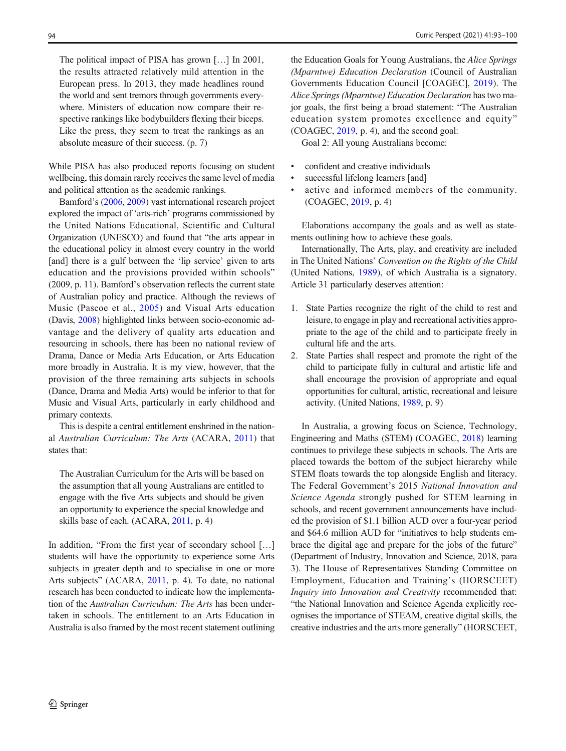The political impact of PISA has grown […] In 2001, the results attracted relatively mild attention in the European press. In 2013, they made headlines round the world and sent tremors through governments everywhere. Ministers of education now compare their respective rankings like bodybuilders flexing their biceps. Like the press, they seem to treat the rankings as an absolute measure of their success. (p. 7)

While PISA has also produced reports focusing on student wellbeing, this domain rarely receives the same level of media and political attention as the academic rankings.

Bamford's [\(2006,](#page-6-0) [2009](#page-6-0)) vast international research project explored the impact of 'arts-rich' programs commissioned by the United Nations Educational, Scientific and Cultural Organization (UNESCO) and found that "the arts appear in the educational policy in almost every country in the world [and] there is a gulf between the 'lip service' given to arts education and the provisions provided within schools" (2009, p. 11). Bamford's observation reflects the current state of Australian policy and practice. Although the reviews of Music (Pascoe et al., [2005\)](#page-7-0) and Visual Arts education (Davis, [2008\)](#page-6-0) highlighted links between socio-economic advantage and the delivery of quality arts education and resourcing in schools, there has been no national review of Drama, Dance or Media Arts Education, or Arts Education more broadly in Australia. It is my view, however, that the provision of the three remaining arts subjects in schools (Dance, Drama and Media Arts) would be inferior to that for Music and Visual Arts, particularly in early childhood and primary contexts.

This is despite a central entitlement enshrined in the national Australian Curriculum: The Arts (ACARA, [2011](#page-6-0)) that states that:

The Australian Curriculum for the Arts will be based on the assumption that all young Australians are entitled to engage with the five Arts subjects and should be given an opportunity to experience the special knowledge and skills base of each. (ACARA, [2011,](#page-6-0) p. 4)

In addition, "From the first year of secondary school […] students will have the opportunity to experience some Arts subjects in greater depth and to specialise in one or more Arts subjects" (ACARA, [2011](#page-6-0), p. 4). To date, no national research has been conducted to indicate how the implementation of the Australian Curriculum: The Arts has been undertaken in schools. The entitlement to an Arts Education in Australia is also framed by the most recent statement outlining

the Education Goals for Young Australians, the *Alice Springs* (Mparntwe) Education Declaration (Council of Australian Governments Education Council [COAGEC], [2019](#page-6-0)). The Alice Springs (Mparntwe) Education Declaration has two major goals, the first being a broad statement: "The Australian education system promotes excellence and equity" (COAGEC, [2019](#page-6-0), p. 4), and the second goal:

Goal 2: All young Australians become:

- confident and creative individuals
- successful lifelong learners [and]
- active and informed members of the community. (COAGEC, [2019](#page-6-0), p. 4)

Elaborations accompany the goals and as well as statements outlining how to achieve these goals.

Internationally, The Arts, play, and creativity are included in The United Nations' Convention on the Rights of the Child (United Nations, [1989](#page-7-0)), of which Australia is a signatory. Article 31 particularly deserves attention:

- 1. State Parties recognize the right of the child to rest and leisure, to engage in play and recreational activities appropriate to the age of the child and to participate freely in cultural life and the arts.
- 2. State Parties shall respect and promote the right of the child to participate fully in cultural and artistic life and shall encourage the provision of appropriate and equal opportunities for cultural, artistic, recreational and leisure activity. (United Nations, [1989,](#page-7-0) p. 9)

In Australia, a growing focus on Science, Technology, Engineering and Maths (STEM) (COAGEC, [2018](#page-6-0)) learning continues to privilege these subjects in schools. The Arts are placed towards the bottom of the subject hierarchy while STEM floats towards the top alongside English and literacy. The Federal Government's 2015 National Innovation and Science Agenda strongly pushed for STEM learning in schools, and recent government announcements have included the provision of \$1.1 billion AUD over a four-year period and \$64.6 million AUD for "initiatives to help students embrace the digital age and prepare for the jobs of the future" (Department of Industry, Innovation and Science, 2018, para 3). The House of Representatives Standing Committee on Employment, Education and Training's (HORSCEET) Inquiry into Innovation and Creativity recommended that: "the National Innovation and Science Agenda explicitly recognises the importance of STEAM, creative digital skills, the creative industries and the arts more generally" (HORSCEET,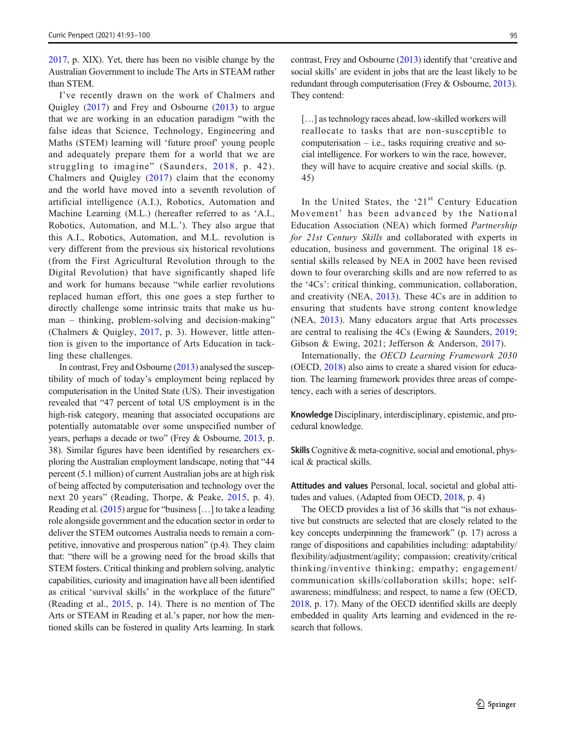[2017,](#page-7-0) p. XIX). Yet, there has been no visible change by the Australian Government to include The Arts in STEAM rather than STEM.

I've recently drawn on the work of Chalmers and Quigley [\(2017\)](#page-6-0) and Frey and Osbourne ([2013](#page-7-0)) to argue that we are working in an education paradigm "with the false ideas that Science, Technology, Engineering and Maths (STEM) learning will 'future proof' young people and adequately prepare them for a world that we are struggling to imagine" (Saunders, [2018,](#page-7-0) p. 42). Chalmers and Quigley ([2017\)](#page-6-0) claim that the economy and the world have moved into a seventh revolution of artificial intelligence (A.I.), Robotics, Automation and Machine Learning (M.L.) (hereafter referred to as 'A.I., Robotics, Automation, and M.L.'). They also argue that this A.I., Robotics, Automation, and M.L. revolution is very different from the previous six historical revolutions (from the First Agricultural Revolution through to the Digital Revolution) that have significantly shaped life and work for humans because "while earlier revolutions replaced human effort, this one goes a step further to directly challenge some intrinsic traits that make us human – thinking, problem-solving and decision-making" (Chalmers & Quigley, [2017,](#page-6-0) p. 3). However, little attention is given to the importance of Arts Education in tackling these challenges.

In contrast, Frey and Osbourne ([2013](#page-7-0)) analysed the susceptibility of much of today's employment being replaced by computerisation in the United State (US). Their investigation revealed that "47 percent of total US employment is in the high-risk category, meaning that associated occupations are potentially automatable over some unspecified number of years, perhaps a decade or two" (Frey & Osbourne, [2013](#page-7-0), p. 38). Similar figures have been identified by researchers exploring the Australian employment landscape, noting that "44 percent (5.1 million) of current Australian jobs are at high risk of being affected by computerisation and technology over the next 20 years" (Reading, Thorpe, & Peake, [2015,](#page-7-0) p. 4). Reading et al. ([2015](#page-7-0)) argue for "business […] to take a leading role alongside government and the education sector in order to deliver the STEM outcomes Australia needs to remain a competitive, innovative and prosperous nation" (p.4). They claim that: "there will be a growing need for the broad skills that STEM fosters. Critical thinking and problem solving, analytic capabilities, curiosity and imagination have all been identified as critical 'survival skills' in the workplace of the future" (Reading et al., [2015,](#page-7-0) p. 14). There is no mention of The Arts or STEAM in Reading et al.'s paper, nor how the mentioned skills can be fostered in quality Arts learning. In stark

contrast, Frey and Osbourne ([2013](#page-7-0)) identify that 'creative and social skills' are evident in jobs that are the least likely to be redundant through computerisation (Frey & Osbourne, [2013\)](#page-7-0). They contend:

[...] as technology races ahead, low-skilled workers will reallocate to tasks that are non-susceptible to computerisation  $-$  i.e., tasks requiring creative and social intelligence. For workers to win the race, however, they will have to acquire creative and social skills. (p. 45)

In the United States, the '21 $<sup>st</sup>$  Century Education</sup> Movement' has been advanced by the National Education Association (NEA) which formed Partnership for 21st Century Skills and collaborated with experts in education, business and government. The original 18 essential skills released by NEA in 2002 have been revised down to four overarching skills and are now referred to as the '4Cs': critical thinking, communication, collaboration, and creativity (NEA, [2013](#page-7-0)). These 4Cs are in addition to ensuring that students have strong content knowledge (NEA, [2013](#page-7-0)). Many educators argue that Arts processes are central to realising the 4Cs (Ewing & Saunders, [2019;](#page-7-0) Gibson & Ewing, 2021; Jefferson & Anderson, [2017\)](#page-7-0).

Internationally, the OECD Learning Framework 2030 (OECD, [2018\)](#page-7-0) also aims to create a shared vision for education. The learning framework provides three areas of competency, each with a series of descriptors.

Knowledge Disciplinary, interdisciplinary, epistemic, and procedural knowledge.

Skills Cognitive & meta-cognitive, social and emotional, physical & practical skills.

Attitudes and values Personal, local, societal and global attitudes and values. (Adapted from OECD, [2018](#page-7-0), p. 4)

The OECD provides a list of 36 skills that "is not exhaustive but constructs are selected that are closely related to the key concepts underpinning the framework" (p. 17) across a range of dispositions and capabilities including: adaptability/ flexibility/adjustment/agility; compassion; creativity/critical thinking/inventive thinking; empathy; engagement/ communication skills/collaboration skills; hope; selfawareness; mindfulness; and respect, to name a few (OECD, [2018,](#page-7-0) p. 17). Many of the OECD identified skills are deeply embedded in quality Arts learning and evidenced in the research that follows.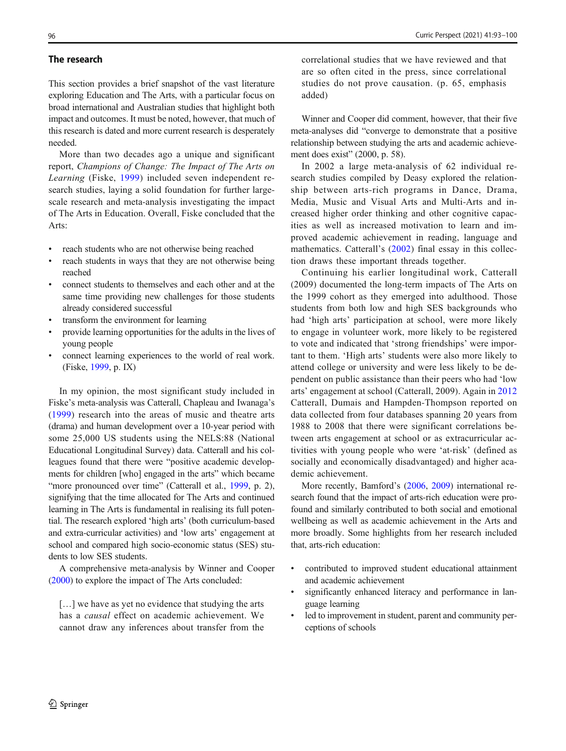#### The research

This section provides a brief snapshot of the vast literature exploring Education and The Arts, with a particular focus on broad international and Australian studies that highlight both impact and outcomes. It must be noted, however, that much of this research is dated and more current research is desperately needed.

More than two decades ago a unique and significant report, Champions of Change: The Impact of The Arts on Learning (Fiske, [1999](#page-7-0)) included seven independent research studies, laying a solid foundation for further largescale research and meta-analysis investigating the impact of The Arts in Education. Overall, Fiske concluded that the Arts:

- reach students who are not otherwise being reached
- reach students in ways that they are not otherwise being reached
- & connect students to themselves and each other and at the same time providing new challenges for those students already considered successful
- transform the environment for learning
- & provide learning opportunities for the adults in the lives of young people
- connect learning experiences to the world of real work. (Fiske, [1999,](#page-7-0) p. IX)

In my opinion, the most significant study included in Fiske's meta-analysis was Catterall, Chapleau and Iwanaga's [\(1999](#page-6-0)) research into the areas of music and theatre arts (drama) and human development over a 10-year period with some 25,000 US students using the NELS:88 (National Educational Longitudinal Survey) data. Catterall and his colleagues found that there were "positive academic developments for children [who] engaged in the arts" which became "more pronounced over time" (Catterall et al., [1999](#page-6-0), p. 2), signifying that the time allocated for The Arts and continued learning in The Arts is fundamental in realising its full potential. The research explored 'high arts' (both curriculum-based and extra-curricular activities) and 'low arts' engagement at school and compared high socio-economic status (SES) students to low SES students.

A comprehensive meta-analysis by Winner and Cooper [\(2000\)](#page-7-0) to explore the impact of The Arts concluded:

[…] we have as yet no evidence that studying the arts has a causal effect on academic achievement. We cannot draw any inferences about transfer from the

correlational studies that we have reviewed and that are so often cited in the press, since correlational studies do not prove causation. (p. 65, emphasis added)

Winner and Cooper did comment, however, that their five meta-analyses did "converge to demonstrate that a positive relationship between studying the arts and academic achievement does exist" (2000, p. 58).

In 2002 a large meta-analysis of 62 individual research studies compiled by Deasy explored the relationship between arts-rich programs in Dance, Drama, Media, Music and Visual Arts and Multi-Arts and increased higher order thinking and other cognitive capacities as well as increased motivation to learn and improved academic achievement in reading, language and mathematics. Catterall's [\(2002\)](#page-6-0) final essay in this collection draws these important threads together.

Continuing his earlier longitudinal work, Catterall (2009) documented the long-term impacts of The Arts on the 1999 cohort as they emerged into adulthood. Those students from both low and high SES backgrounds who had 'high arts' participation at school, were more likely to engage in volunteer work, more likely to be registered to vote and indicated that 'strong friendships' were important to them. 'High arts' students were also more likely to attend college or university and were less likely to be dependent on public assistance than their peers who had 'low arts' engagement at school (Catterall, 2009). Again in [2012](#page-6-0) Catterall, Dumais and Hampden-Thompson reported on data collected from four databases spanning 20 years from 1988 to 2008 that there were significant correlations between arts engagement at school or as extracurricular activities with young people who were 'at-risk' (defined as socially and economically disadvantaged) and higher academic achievement.

More recently, Bamford's [\(2006](#page-6-0), [2009\)](#page-6-0) international research found that the impact of arts-rich education were profound and similarly contributed to both social and emotional wellbeing as well as academic achievement in the Arts and more broadly. Some highlights from her research included that, arts-rich education:

- contributed to improved student educational attainment and academic achievement
- significantly enhanced literacy and performance in language learning
- led to improvement in student, parent and community perceptions of schools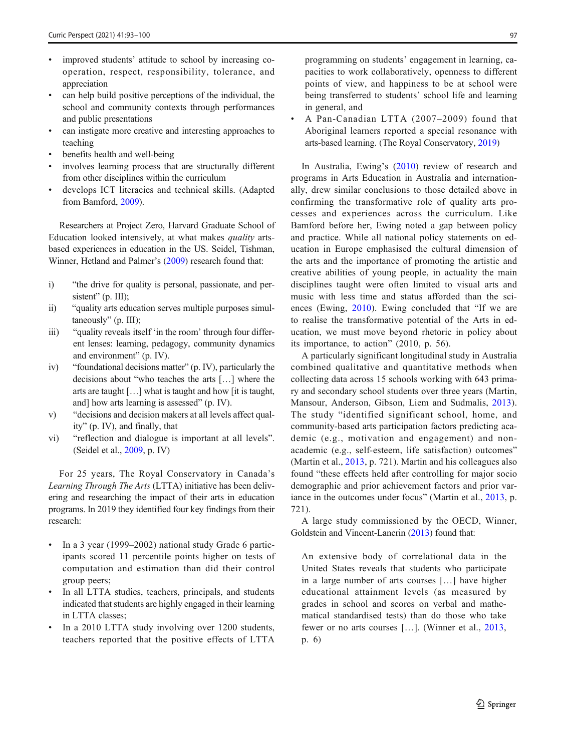- improved students' attitude to school by increasing cooperation, respect, responsibility, tolerance, and appreciation
- & can help build positive perceptions of the individual, the school and community contexts through performances and public presentations
- can instigate more creative and interesting approaches to teaching
- benefits health and well-being
- involves learning process that are structurally different from other disciplines within the curriculum
- & develops ICT literacies and technical skills. (Adapted from Bamford, [2009](#page-6-0)).

Researchers at Project Zero, Harvard Graduate School of Education looked intensively, at what makes quality artsbased experiences in education in the US. Seidel, Tishman, Winner, Hetland and Palmer's [\(2009\)](#page-7-0) research found that:

- i) "the drive for quality is personal, passionate, and persistent" (p. III);
- ii) "quality arts education serves multiple purposes simultaneously" (p. III);
- iii) "quality reveals itself 'in the room' through four different lenses: learning, pedagogy, community dynamics and environment" (p. IV).
- iv) "foundational decisions matter" (p. IV), particularly the decisions about "who teaches the arts […] where the arts are taught […] what is taught and how [it is taught, and] how arts learning is assessed" (p. IV).
- v) "decisions and decision makers at all levels affect quality" (p. IV), and finally, that
- vi) "reflection and dialogue is important at all levels". (Seidel et al., [2009](#page-7-0), p. IV)

For 25 years, The Royal Conservatory in Canada's Learning Through The Arts (LTTA) initiative has been delivering and researching the impact of their arts in education programs. In 2019 they identified four key findings from their research:

- In a 3 year (1999–2002) national study Grade 6 participants scored 11 percentile points higher on tests of computation and estimation than did their control group peers;
- In all LTTA studies, teachers, principals, and students indicated that students are highly engaged in their learning in LTTA classes;
- In a 2010 LTTA study involving over 1200 students, teachers reported that the positive effects of LTTA

programming on students' engagement in learning, capacities to work collaboratively, openness to different points of view, and happiness to be at school were being transferred to students' school life and learning in general, and

& A Pan-Canadian LTTA (2007–2009) found that Aboriginal learners reported a special resonance with arts-based learning. (The Royal Conservatory, [2019\)](#page-7-0)

In Australia, Ewing's [\(2010](#page-7-0)) review of research and programs in Arts Education in Australia and internationally, drew similar conclusions to those detailed above in confirming the transformative role of quality arts processes and experiences across the curriculum. Like Bamford before her, Ewing noted a gap between policy and practice. While all national policy statements on education in Europe emphasised the cultural dimension of the arts and the importance of promoting the artistic and creative abilities of young people, in actuality the main disciplines taught were often limited to visual arts and music with less time and status afforded than the sciences (Ewing, [2010\)](#page-7-0). Ewing concluded that "If we are to realise the transformative potential of the Arts in education, we must move beyond rhetoric in policy about its importance, to action" (2010, p. 56).

A particularly significant longitudinal study in Australia combined qualitative and quantitative methods when collecting data across 15 schools working with 643 primary and secondary school students over three years (Martin, Mansour, Anderson, Gibson, Liem and Sudmalis, [2013](#page-7-0)). The study "identified significant school, home, and community-based arts participation factors predicting academic (e.g., motivation and engagement) and nonacademic (e.g., self-esteem, life satisfaction) outcomes" (Martin et al., [2013,](#page-7-0) p. 721). Martin and his colleagues also found "these effects held after controlling for major socio demographic and prior achievement factors and prior var-iance in the outcomes under focus" (Martin et al., [2013](#page-7-0), p. 721).

A large study commissioned by the OECD, Winner, Goldstein and Vincent-Lancrin ([2013](#page-7-0)) found that:

An extensive body of correlational data in the United States reveals that students who participate in a large number of arts courses […] have higher educational attainment levels (as measured by grades in school and scores on verbal and mathematical standardised tests) than do those who take fewer or no arts courses […]. (Winner et al., [2013](#page-7-0), p. 6)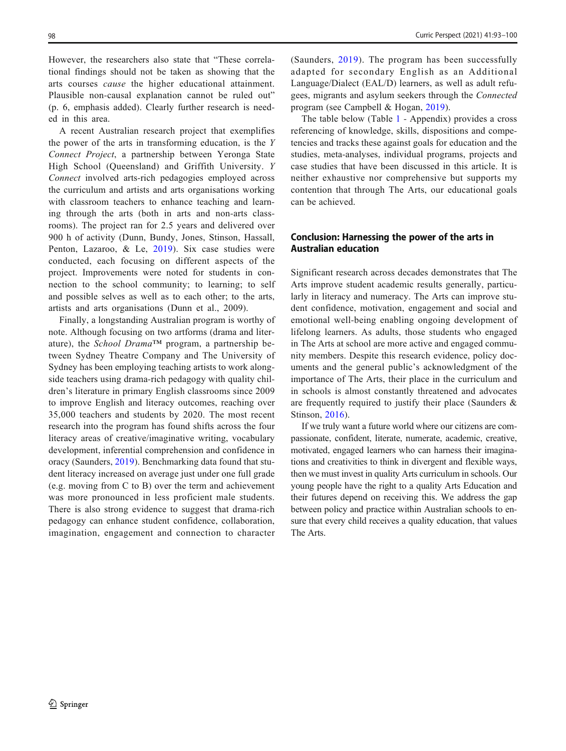However, the researchers also state that "These correlational findings should not be taken as showing that the arts courses cause the higher educational attainment. Plausible non-causal explanation cannot be ruled out" (p. 6, emphasis added). Clearly further research is needed in this area.

A recent Australian research project that exemplifies the power of the arts in transforming education, is the Y Connect Project, a partnership between Yeronga State High School (Queensland) and Griffith University. Y Connect involved arts-rich pedagogies employed across the curriculum and artists and arts organisations working with classroom teachers to enhance teaching and learning through the arts (both in arts and non-arts classrooms). The project ran for 2.5 years and delivered over 900 h of activity (Dunn, Bundy, Jones, Stinson, Hassall, Penton, Lazaroo, & Le, [2019\)](#page-7-0). Six case studies were conducted, each focusing on different aspects of the project. Improvements were noted for students in connection to the school community; to learning; to self and possible selves as well as to each other; to the arts, artists and arts organisations (Dunn et al., 2009).

Finally, a longstanding Australian program is worthy of note. Although focusing on two artforms (drama and literature), the School Drama<sup>TM</sup> program, a partnership between Sydney Theatre Company and The University of Sydney has been employing teaching artists to work alongside teachers using drama-rich pedagogy with quality children's literature in primary English classrooms since 2009 to improve English and literacy outcomes, reaching over 35,000 teachers and students by 2020. The most recent research into the program has found shifts across the four literacy areas of creative/imaginative writing, vocabulary development, inferential comprehension and confidence in oracy (Saunders, [2019](#page-7-0)). Benchmarking data found that student literacy increased on average just under one full grade (e.g. moving from C to B) over the term and achievement was more pronounced in less proficient male students. There is also strong evidence to suggest that drama-rich pedagogy can enhance student confidence, collaboration, imagination, engagement and connection to character

(Saunders, [2019](#page-7-0)). The program has been successfully adapted for secondary English as an Additional Language/Dialect (EAL/D) learners, as well as adult refugees, migrants and asylum seekers through the Connected program (see Campbell & Hogan, [2019\)](#page-6-0).

The table below (Table [1](#page-6-0) - Appendix) provides a cross referencing of knowledge, skills, dispositions and competencies and tracks these against goals for education and the studies, meta-analyses, individual programs, projects and case studies that have been discussed in this article. It is neither exhaustive nor comprehensive but supports my contention that through The Arts, our educational goals can be achieved.

## Conclusion: Harnessing the power of the arts in Australian education

Significant research across decades demonstrates that The Arts improve student academic results generally, particularly in literacy and numeracy. The Arts can improve student confidence, motivation, engagement and social and emotional well-being enabling ongoing development of lifelong learners. As adults, those students who engaged in The Arts at school are more active and engaged community members. Despite this research evidence, policy documents and the general public's acknowledgment of the importance of The Arts, their place in the curriculum and in schools is almost constantly threatened and advocates are frequently required to justify their place (Saunders & Stinson, [2016](#page-7-0)).

If we truly want a future world where our citizens are compassionate, confident, literate, numerate, academic, creative, motivated, engaged learners who can harness their imaginations and creativities to think in divergent and flexible ways, then we must invest in quality Arts curriculum in schools. Our young people have the right to a quality Arts Education and their futures depend on receiving this. We address the gap between policy and practice within Australian schools to ensure that every child receives a quality education, that values The Arts.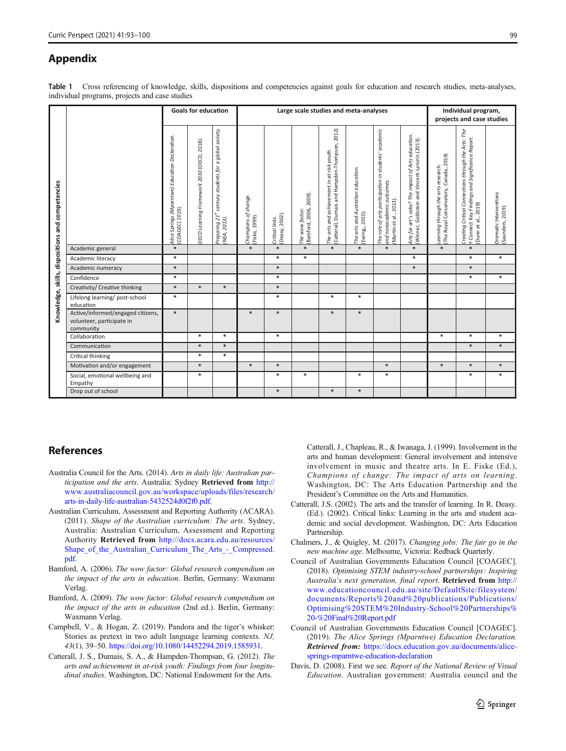# <span id="page-6-0"></span>Appendix

Table 1 Cross referencing of knowledge, skills, dispositions and competencies against goals for education and research studies, meta-analyses, individual programs, projects and case studies

|                                                       |                                                                             | <b>Goals for education</b>                                        |                                            |                                                                                         | Large scale studies and meta-analyses  |                                  |                                           |                                                                                              |                                                       |                                                                                                            |                                                                                                      | Individual program,<br>projects and case studies                                           |                                                                                                                               |                                            |
|-------------------------------------------------------|-----------------------------------------------------------------------------|-------------------------------------------------------------------|--------------------------------------------|-----------------------------------------------------------------------------------------|----------------------------------------|----------------------------------|-------------------------------------------|----------------------------------------------------------------------------------------------|-------------------------------------------------------|------------------------------------------------------------------------------------------------------------|------------------------------------------------------------------------------------------------------|--------------------------------------------------------------------------------------------|-------------------------------------------------------------------------------------------------------------------------------|--------------------------------------------|
| competencie<br>dispositions and<br>Knowledge, skills, |                                                                             | Alice Springs (Mparntwe) Education Declaration.<br>COAGEC] 2019). | OECD Learning Framework 2030 (OECD, 2018). | a global society.<br>century students for<br>Preparing 21 <sup>st</sup><br>(NEA, 2013). | Champions of change.<br>(Fiske, 1999). | (Deasy, 2002)<br>Critical links. | The wow factor.<br>(Bamford, 2006, 2009). | (Catterall, Dumais and Hampden-Thompson, 2012)<br>The arts and achievement in at-risk youth. | The arts and Australian education.<br>(Ewing,, 2010). | The role of arts participation in students' academic<br>and nonacademic outcomes.<br>Martin et al., 2013). | Arts for art's sake? The impact of Arts education.<br>[Winner, Goldstein and Vincent-Lancrin (2013). | Canada, 2019)<br>Learning through the arts research.<br>(The Royal Conservatory, Canada, 2 | Creating Critical Connections through the Arts: The<br>Y Connect Key Findings and Significance Report.<br>(Dunn et al., 2019) | Dramatic Interventions<br>(Saunders, 2019) |
|                                                       | Academic general                                                            | $\ast$                                                            |                                            |                                                                                         | $\ast$                                 | $*$                              | $*$                                       | $\ast$                                                                                       | $*$                                                   | $*$                                                                                                        | $\ast$                                                                                               | $\ast$                                                                                     | $\ast$                                                                                                                        |                                            |
|                                                       | Academic literacy                                                           | $\ast$                                                            |                                            |                                                                                         |                                        | $\ast$                           | $\ast$                                    |                                                                                              |                                                       |                                                                                                            | $\ast$                                                                                               |                                                                                            | $\ast$                                                                                                                        | $\ast$                                     |
|                                                       | Academic numeracy                                                           | $\ast$                                                            |                                            |                                                                                         |                                        | $\ast$                           |                                           |                                                                                              |                                                       |                                                                                                            | $\ast$                                                                                               |                                                                                            | $\ast$                                                                                                                        |                                            |
|                                                       | Confidence                                                                  | $\ast$                                                            |                                            |                                                                                         |                                        | $\ast$                           |                                           |                                                                                              |                                                       |                                                                                                            |                                                                                                      |                                                                                            | $\ast$                                                                                                                        | *                                          |
|                                                       | Creativity/ Creative thinking                                               | $\ast$                                                            | $\ast$                                     | $\ast$                                                                                  |                                        | $\ast$                           |                                           |                                                                                              |                                                       |                                                                                                            |                                                                                                      |                                                                                            |                                                                                                                               |                                            |
|                                                       | Lifelong learning/post-school<br>education                                  | $*$                                                               |                                            |                                                                                         |                                        | $*$                              |                                           | $\ast$                                                                                       | $\ast$                                                |                                                                                                            |                                                                                                      |                                                                                            |                                                                                                                               |                                            |
|                                                       | Active/informed/engaged citizens,<br>volunteer, participate in<br>community | $\ast$                                                            |                                            |                                                                                         | $\ast$                                 | $\ast$                           |                                           | $\ast$                                                                                       | $*$                                                   |                                                                                                            |                                                                                                      |                                                                                            |                                                                                                                               |                                            |
|                                                       | Collaboration                                                               |                                                                   | $\ast$                                     | $\ast$                                                                                  |                                        | $\ast$                           |                                           |                                                                                              |                                                       |                                                                                                            |                                                                                                      | $\ast$                                                                                     | $\ast$                                                                                                                        | *                                          |
|                                                       | Communication                                                               |                                                                   | $\ast$                                     | $\ast$                                                                                  |                                        |                                  |                                           |                                                                                              |                                                       |                                                                                                            |                                                                                                      |                                                                                            | $\ast$                                                                                                                        | $\ast$                                     |
|                                                       | Critical thinking                                                           |                                                                   | $\ast$                                     | $\ast$                                                                                  |                                        |                                  |                                           |                                                                                              |                                                       |                                                                                                            |                                                                                                      |                                                                                            |                                                                                                                               |                                            |
|                                                       | Motivation and/or engagement                                                |                                                                   | $\ast$                                     |                                                                                         | $\ast$                                 | $\ast$                           |                                           |                                                                                              |                                                       | $\ast$                                                                                                     |                                                                                                      | $\ast$                                                                                     | $\ast$                                                                                                                        | $\ast$                                     |
|                                                       | Social, emotional wellbeing and<br>Empathy                                  |                                                                   | $\ast$                                     |                                                                                         |                                        | $\ast$                           | $\ast$                                    |                                                                                              | $\ast$                                                | $\ast$                                                                                                     |                                                                                                      |                                                                                            | $\ast$                                                                                                                        | $\ast$                                     |
|                                                       | Drop out of school                                                          |                                                                   |                                            |                                                                                         |                                        | $*$                              |                                           | $\ast$                                                                                       | $\ast$                                                |                                                                                                            |                                                                                                      |                                                                                            |                                                                                                                               |                                            |

# References

- Australia Council for the Arts. (2014). Arts in daily life: Australian participation and the arts. Australia: Sydney Retrieved from [http://](http://www.australiacouncil.gov.au/workspace/uploads/files/research/arts-in-daily-life-australian-5432524d0f2f0.pdf) [www.australiacouncil.gov.au/workspace/uploads/files/research/](http://www.australiacouncil.gov.au/workspace/uploads/files/research/arts-in-daily-life-australian-5432524d0f2f0.pdf) [arts-in-daily-life-australian-5432524d0f2f0.pdf](http://www.australiacouncil.gov.au/workspace/uploads/files/research/arts-in-daily-life-australian-5432524d0f2f0.pdf).
- Australian Curriculum, Assessment and Reporting Authority (ACARA). (2011). Shape of the Australian curriculum: The arts. Sydney, Australia: Australian Curriculum, Assessment and Reporting Authority Retrieved from [http://docs.acara.edu.au/resources/](http://docs.acara.edu.au/resources/Shape_of_the_Australian_Curriculum_The_Arts_-_Compressed.pdf) [Shape\\_of\\_the\\_Australian\\_Curriculum\\_The\\_Arts\\_-\\_Compressed.](http://docs.acara.edu.au/resources/Shape_of_the_Australian_Curriculum_The_Arts_-_Compressed.pdf) [pdf.](http://docs.acara.edu.au/resources/Shape_of_the_Australian_Curriculum_The_Arts_-_Compressed.pdf)
- Bamford, A. (2006). The wow factor: Global research compendium on the impact of the arts in education. Berlin, Germany: Waxmann Verlag.
- Bamford, A. (2009). The wow factor: Global research compendium on the impact of the arts in education (2nd ed.). Berlin, Germany: Waxmann Verlag.
- Campbell, V., & Hogan, Z. (2019). Pandora and the tiger's whisker: Stories as pretext in two adult language learning contexts. NJ, 43(1), 39–50. [https://doi.org/10.1080/14452294.2019.1585931.](https://doi.org/10.1080/14452294.2019.1585931)
- Catterall, J. S., Dumais, S. A., & Hampden-Thompsan, G. (2012). The arts and achievement in at-risk youth: Findings from four longitudinal studies. Washington, DC: National Endowment for the Arts.

Catterall, J., Chapleau, R., & Iwanaga, J. (1999). Involvement in the arts and human development: General involvement and intensive involvement in music and theatre arts. In E. Fiske (Ed.), Champions of change: The impact of arts on learning. Washington, DC: The Arts Education Partnership and the President's Committee on the Arts and Humanities.

- Catterall, J.S. (2002). The arts and the transfer of learning. In R. Deasy. (Ed.). (2002). Critical links: Learning in the arts and student academic and social development. Washington, DC: Arts Education Partnership.
- Chalmers, J., & Quigley, M. (2017). Changing jobs: The fair go in the new machine age. Melbourne, Victoria: Redback Quarterly.
- Council of Australian Governments Education Council [COAGEC]. (2018). Optimising STEM industry-school partnerships: Inspiring Australia's next generation, final report. Retrieved from [http://](http://www.educationcouncil.edu.au/site/DefaultSite/filesystem/documents/Reports%20and%20publications/Publications/Optimising%20STEM%20Industry-School%20Partnerships%20-%20Final%20Report.pdf) [www.educationcouncil.edu.au/site/DefaultSite/filesystem/](http://www.educationcouncil.edu.au/site/DefaultSite/filesystem/documents/Reports%20and%20publications/Publications/Optimising%20STEM%20Industry-School%20Partnerships%20-%20Final%20Report.pdf) [documents/Reports%20and%20publications/Publications/](http://www.educationcouncil.edu.au/site/DefaultSite/filesystem/documents/Reports%20and%20publications/Publications/Optimising%20STEM%20Industry-School%20Partnerships%20-%20Final%20Report.pdf) [Optimising%20STEM%20Industry-School%20Partnerships%](http://www.educationcouncil.edu.au/site/DefaultSite/filesystem/documents/Reports%20and%20publications/Publications/Optimising%20STEM%20Industry-School%20Partnerships%20-%20Final%20Report.pdf) [20-%20Final%20Report.pdf](http://www.educationcouncil.edu.au/site/DefaultSite/filesystem/documents/Reports%20and%20publications/Publications/Optimising%20STEM%20Industry-School%20Partnerships%20-%20Final%20Report.pdf)
- Council of Australian Governments Education Council [COAGEC]. (2019). The Alice Springs (Mparntwe) Education Declaration. Retrieved from: [https://docs.education.gov.au/documents/alice](https://docs.education.gov.au/documents/alice-springs-mparntwe-education-declaration)[springs-mparntwe-education-declaration](https://docs.education.gov.au/documents/alice-springs-mparntwe-education-declaration)
- Davis, D. (2008). First we see. Report of the National Review of Visual Education. Australian government: Australia council and the